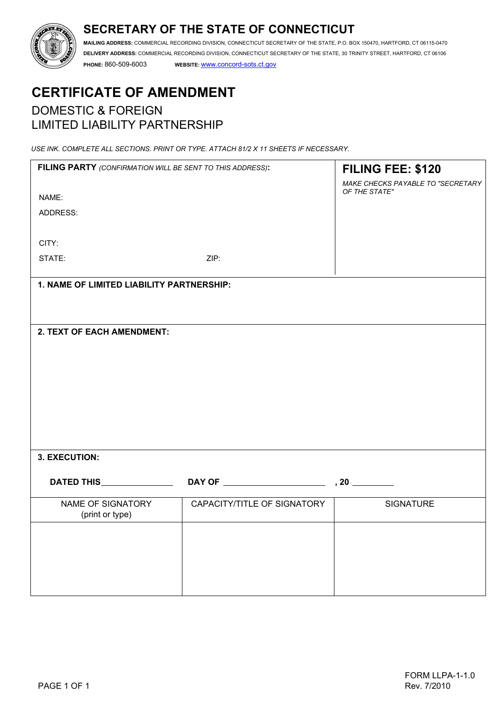# **SECRETARY OF THE STATE OF CONNECTICUT**



**MAILING ADDRESS:** COMMERCIAL RECORDING DIVISION, CONNECTICUT SECRETARY OF THE STATE, P.O. BOX 150470, HARTFORD, CT 06115-0470 **DELIVERY ADDRESS:** COMMERCIAL RECORDING DIVISION, CONNECTICUT SECRETARY OF THE STATE, 30 TRINITY STREET, HARTFORD, CT 06106

**PHONE:** 860-509-6003 **WEBSITE:** www.concord-sots.ct.gov

# **CERTIFICATE OF AMENDMENT**  DOMESTIC & FOREIGN LIMITED LIABILITY PARTNERSHIP

*USE INK. COMPLETE ALL SECTIONS. PRINT OR TYPE. ATTACH 81/2 X 11 SHEETS IF NECESSARY.*

| FILING PARTY (CONFIRMATION WILL BE SENT TO THIS ADDRESS): |                             | FILING FEE: \$120                 |
|-----------------------------------------------------------|-----------------------------|-----------------------------------|
|                                                           |                             | MAKE CHECKS PAYABLE TO "SECRETARY |
| NAME:                                                     |                             | OF THE STATE"                     |
| ADDRESS:                                                  |                             |                                   |
|                                                           |                             |                                   |
| CITY:                                                     |                             |                                   |
| STATE:                                                    | ZIP:                        |                                   |
|                                                           |                             |                                   |
| 1. NAME OF LIMITED LIABILITY PARTNERSHIP:                 |                             |                                   |
|                                                           |                             |                                   |
|                                                           |                             |                                   |
| <b>2. TEXT OF EACH AMENDMENT:</b>                         |                             |                                   |
|                                                           |                             |                                   |
|                                                           |                             |                                   |
|                                                           |                             |                                   |
|                                                           |                             |                                   |
|                                                           |                             |                                   |
|                                                           |                             |                                   |
|                                                           |                             |                                   |
|                                                           |                             |                                   |
|                                                           |                             |                                   |
| 3. EXECUTION:                                             |                             |                                   |
|                                                           |                             |                                   |
|                                                           |                             |                                   |
| NAME OF SIGNATORY<br>(print or type)                      | CAPACITY/TITLE OF SIGNATORY | <b>SIGNATURE</b>                  |
|                                                           |                             |                                   |
|                                                           |                             |                                   |
|                                                           |                             |                                   |
|                                                           |                             |                                   |